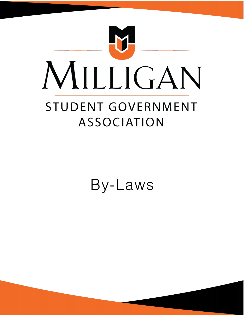

By-Laws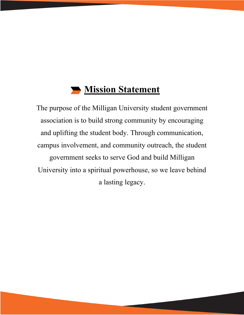# **Mission Statement**

The purpose of the Milligan University student government association is to build strong community by encouraging and uplifting the student body. Through communication, campus involvement, and community outreach, the student government seeks to serve God and build Milligan University into a spiritual powerhouse, so we leave behind a lasting legacy.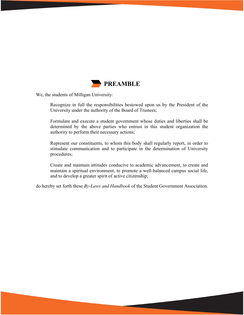

We, the students of Milligan University:

Recognize in full the responsibilities bestowed upon us by the President of the University under the authority of the Board of Trustees;

Formulate and execute a student government whose duties and liberties shall be determined by the above parties who entrust in this student organization the authority to perform their necessary actions;

Represent our constituents, to whom this body shall regularly report, in order to stimulate communication and to participate in the determination of University procedures;

Create and maintain attitudes conducive to academic advancement, to create and maintain a spiritual environment, to promote a well-balanced campus social life, and to develop a greater spirit of active citizenship;

do hereby set forth these *By-Laws and Handbook* of the Student Government Association.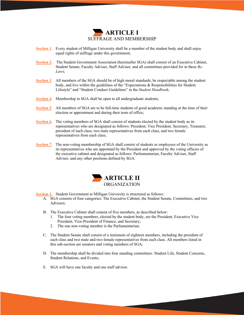

- **Section 1.** Every student of Milligan University shall be a member of the student body and shall enjoy equal rights of suffrage under this government;
- **Section 2.** The Student Government Association (hereinafter SGA) shall consist of an Executive Cabinet, Student Senate, Faculty Adviser, Staff Adviser, and all committees provided for in these *By-Laws;*
- **Section 3.** All members of the SGA should be of high moral standards, be respectable among the student body, and live within the guidelines of the "Expectations & Responsibilities for Student Lifestyle" and "Student Conduct Guidelines" in the *Student Handbook*;
- **Section 4.** Membership in SGA shall be open to all undergraduate students;
- **Section 5.** All members of SGA are to be full-time students of good academic standing at the time of their election or appointment and during their term of office;
- **Section 6.** The voting members of SGA shall consist of students elected by the student body as its representatives who are designated as follows: President, Vice President, Secretary, Treasurer, president of each class, two male representatives from each class, and two female representatives from each class;
- **Section 7.** The non-voting membership of SGA shall consist of students or employees of the University as its representatives who are appointed by the President and approved by the voting officers of the executive cabinet and designated as follows: Parliamentarian, Faculty Adviser, Staff Adviser, and any other positions defined by SGA.



- **Section 1.** Student Government at Milligan University is structured as follows:
	- A. SGA consists of four categories: The Executive Cabinet, the Student Senate, Committees, and two Advisers;
	- B. The Executive Cabinet shall consist of five members, as described below:
		- 1. The four voting members, elected by the student body, are the President, Executive Vice President, Vice-President of Finance, and Secretary;
		- 2. The one non-voting member is the Parliamentarian;
	- C. The Student Senate shall consist of a minimum of eighteen members, including the president of each class and two male and two female representatives from each class. All members listed in this sub-section are senators and voting members of SGA;
	- D. The membership shall be divided into four standing committees: Student Life, Student Concerns, Student Relations, and Events;

4

E. SGA will have one faculty and one staff advisor.

.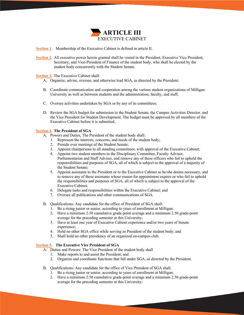

**Section 1.** Membership of the Executive Cabinet is defined in article II.

**Section 2.** All executive power herein granted shall be vested in the President, Executive Vice President, Secretary, and Vice-President of Finance of the student body, who shall be elected by the student body concurrently with the Student Senate.

**Section 3.** The Executive Cabinet shall:

- A. Organize, advise, oversee, and otherwise lead SGA, as directed by the President;
- B. Coordinate communication and cooperation among the various student organizations of Milligan University as well as between students and the administration, faculty, and staff;
- C. Oversee activities undertaken by SGA or by any of its committees;
- D. Review the SGA budget for submission to the Student Senate, the Campus Activities Director, and the Vice President for Student Development. The budget must be approved by all members of the Executive Cabinet before it is submitted.

#### **Section 4. The President of SGA**

- A. Powers and Duties, The President of the student body shall:
	- 1. Represent the interests, concerns, and needs of the student body;
	- 2. Preside over meetings of the Student Senate;
	- 3. Appoint chairpersons to all standing committees, with approval of the Executive Cabinet;
	- 4. Appoint two student members to the Disciplinary Committee, Faculty Adviser, Parliamentarian and Staff Adviser, and remove any of these officers who fail to uphold the responsibilities and purposes of SGA, all of which is subject to the approval of a majority of the Student Senate;
	- 5. Appoint assistants to the President or to the Executive Cabinet as he/she deems necessary, and to remove any of these assistants whose reason for appointment expires or who fail to uphold the responsibilities and purposes of SGA, all of which is subject to the approval of the Executive Cabinet;
	- 6. Delegate tasks and responsibilities within the Executive Cabinet; and
	- 7. Oversee all publications and other communications of SGA.
- B. Qualifications: Any candidate for the office of President of SGA shall:
	- 1. Be a rising junior or senior, according to years of enrollment at Milligan;
	- 2. Have a minimum 2.50 cumulative grade-point average and a minimum 2.50 grade-point average for the preceding semester at this University;
	- 3. Have at least one year of Executive Cabinet experience and/or two years of Senate experience;
	- 4. Hold no other SGA office while serving as President of the student body; and
	- 5. Shall hold no other presidency of an organized on-campus club.

### **Section 5. The Executive Vice President of SGA**

- A. Duties and Powers: The Vice President of the student body shall
	- 1. Make reports to and assist the President; and
	- 2. Organize and coordinate functions that fall under SGA, as directed by the President.
- B. Qualifications: Any candidate for the office of Vice President of SGA shall:
	- 1. Be a rising junior or senior, according to years of enrollment at Milligan;
	- 2. Have a minimum 2.50 cumulative grade-point average and a minimum 2.50 grade-point average for the preceding semester at this University;

5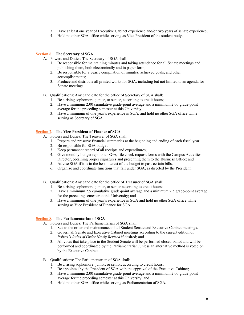- 3. Have at least one year of Executive Cabinet experience and/or two years of senate experience;
- 4. Hold no other SGA office while serving as Vice President of the student body.

# **Section 6**. **The Secretary of SGA**

- A. Powers and Duties: The Secretary of SGA shall:
	- 1. Be responsible for maintaining minutes and taking attendance for all Senate meetings and publishing them, both electronically and in paper form;
	- 2. Be responsible for a yearly compilation of minutes, achieved goals, and other accomplishments;
	- 3. Produce and distribute all printed works for SGA, including but not limited to an agenda for Senate meetings.
- B. Qualifications: Any candidate for the office of Secretary of SGA shall:
	- 1. Be a rising sophomore, junior, or senior, according to credit hours;
	- 2. Have a minimum 2.00 cumulative grade-point average and a minimum 2.00 grade-point average for the preceding semester at this University;
	- 3. Have a minimum of one year's experience in SGA, and hold no other SGA office while serving as Secretary of SGA

# **Section 7. The Vice-President of Finance of SGA**

- A. Powers and Duties: The Treasurer of SGA shall:
	- 1. Prepare and preserve financial summaries at the beginning and ending of each fiscal year;
	- 2. Be responsible for SGA budget;
	- 3. Keep permanent record of all receipts and expenditures;
	- 4. Give monthly budget reports to SGA**,** file check request forms with the Campus Activities Director, obtaining proper signatures and presenting them to the Business Office; and
	- 5. Advise SGA if it is in the best interest of the budget to pass certain bills.
	- 6. Organize and coordinate functions that fall under SGA, as directed by the President.
- B. Qualifications: Any candidate for the office of Treasurer of SGA shall:
	- 1. Be a rising sophomore, junior, or senior according to credit hours;
	- 2. Have a minimum 2.5 cumulative grade-point average and a minimum 2.5 grade-point average for the preceding semester at this University; and
	- 3. Have a minimum of one year's experience in SGA and hold no other SGA office while serving as Vice President of Finance for SGA.

# **Section 8. The Parliamentarian of SGA**

- A. Powers and Duties: The Parliamentarian of SGA shall:
	- 1. See to the order and maintenance of all Student Senate and Executive Cabinet meetings.
	- 2. Govern all Senate and Executive Cabinet meetings according to the current edition of *Robert's Rules of Order Newly Revised* if desired; and
	- 3. All votes that take place in the Student Senate will be performed closed-ballot and will be performed and coordinated by the Parliamentarian, unless an alternative method is voted on by the Executive Cabinet.
- B. Qualifications: The Parliamentarian of SGA shall:
	- 1. Be a rising sophomore, junior, or senior, according to credit hours;
	- 2. Be appointed by the President of SGA with the approval of the Executive Cabinet;
	- 3. Have a minimum 2.00 cumulative grade-point average and a minimum 2.00 grade-point average for the preceding semester at this University; and
	- 4. Hold no other SGA office while serving as Parliamentarian of SGA.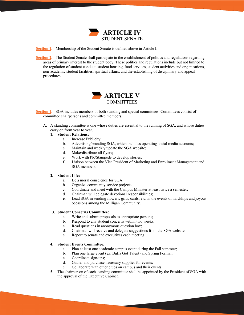

**Section 1.** Membership of the Student Senate is defined above in Article I.

**Section 2.** The Student Senate shall participate in the establishment of politics and regulations regarding areas of primary interest to the student body. These politics and regulations include but not limited to the regulation of student conduct, student housing, food services, student activities and organizations, non-academic student facilities, spiritual affairs, and the establishing of disciplinary and appeal procedures.



**Section 1.** SGA includes members of both standing and special committees. Committees consist of committee chairpersons and committee members.

A. A standing committee is one whose duties are essential to the running of SGA, and whose duties carry on from year to year.

#### **1. Student Relations:**

- a. Increase Publicity;
- b. Advertising/branding SGA, which includes operating social media accounts;
- c. Maintain and weekly update the SGA website;
- d. Make/distribute all flyers;
- e. Work with PR/Stampede to develop stories;
- f. Liaison between the Vice President of Marketing and Enrollment Management and SGA members.

#### **2. Student Life:**

- a. Be a moral conscience for SGA;
- b. Organize community service projects;
- c. Coordinate and meet with the Campus Minister at least twice a semester;
- d. Chairman will delegate devotional responsibilities;
- **e.** Lead SGA in sending flowers, gifts, cards, etc. in the events of hardships and joyous occasions among the Milligan Community.

#### **3. Student Concerns Committee:**

- a. Write and submit proposals to appropriate persons;
- b. Respond to any student concerns within two weeks;
- c. Read questions in anonymous question box;
- d. Chairman will receive and delegate suggestions from the SGA website;
- e. Report to senate and executives each meeting.

# **4. Student Events Committee:**

- a. Plan at least one academic campus event during the Fall semester;
- b. Plan one large event (ex. Buffs Got Talent) and Spring Formal;
- c. Coordinate sign-ups;
- d. Gather and purchase necessary supplies for events;
- e. Collaborate with other clubs on campus and their events.
- 5. The chairperson of each standing committee shall be appointed by the President of SGA with the approval of the Executive Cabinet.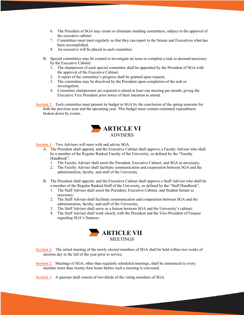- 6. The President of SGA may create or eliminate standing committees, subject to the approval of the executive cabinet.
- 7. Committees must meet regularly so that they can report to the Senate and Executives what has been accomplished.
- 8. An executive will be placed in each committee
- B. Special committees may be created to investigate an issue or complete a task as deemed necessary by the Executive Cabinet.
	- 1. The chairperson of each special committee shall be appointed by the President of SGA with the approval of the Executive Cabinet;
	- 2. A report of the committee's progress shall be granted upon request;
	- 3. The committee may be dissolved by the President upon completion of the task or investigation;
	- 4. Committee chairpersons are required to attend at least one meeting per month; giving the Executive Vice President prior notice of their intention to attend.

**Section 2.** Each committee must present its budget to SGA by the conclusion of the spring semester for both the previous year and the upcoming year. This budget must contain estimated expenditures broken down by events.



**Section 1.** Two Advisers will meet with and advise SGA.

- A. The President shall appoint, and the Executive Cabinet shall approve a Faculty Adviser who shall be a member of the Regular Ranked Faculty of the University, as defined by the "Faculty Handbook".
	- 1. The Faculty Adviser shall assist the President, Executive Cabinet, and SGA as necessary;
	- 2. The Faculty Adviser shall facilitate communication and cooperation between SGA and the administration, faculty, and staff of the University.
- B. The President shall appoint, and the Executive Cabinet shall approve a Staff Adviser who shall be a member of the Regular Ranked Staff of the University, as defined by the "Staff Handbook".
	- 1. The Staff Adviser shall assist the President, Executive Cabinet, and Student Senate as necessary;
	- 2. The Staff Adviser shall facilitate communication and cooperation between SGA and the administration, faculty, and staff of the University;
	- 3. The Staff Adviser shall serve as a liaison between SGA and the University's cabinet;
	- 4. The Staff Adviser shall work closely with the President and the Vice-President of Finance regarding SGA's finances.



**Section 1.** The initial meeting of the newly elected members of SGA shall be held within two weeks of election day in the fall of the year prior to service.

8

**Section 2.** Meetings of SGA, other than regularly scheduled meetings, shall be announced to every member more than twenty-four hours before such a meeting is convened.

**Section 3.** A quorum shall consist of two-thirds of the voting members of SGA.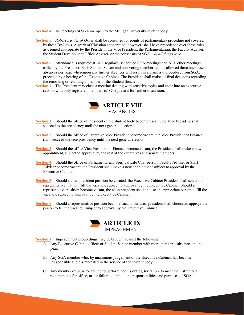**Section 4.** All meetings of SGA are open to the Milligan University student body.

- **Section 5.** *Robert's Rules of Order* shall be consulted for points of parliamentary procedure not covered by these By-Laws. A spirit of Christian cooperation, however, shall have precedence over these rules, as deemed appropriate by the President, the Vice President, the Parliamentarian, the Faculty Adviser, the Student Development Office Adviser, or the consensus of SGA—*In all things love*.
- **Section 6.** Attendance is required at ALL regularly scheduled SGA meetings and ALL other meetings called by the President. Each Student Senate and non-voting member will be allowed three unexcused absences per year, whereupon any further absences will result in a dismissal procedure from SGA, preceded by a hearing of the Executive Cabinet. The President shall make all final decisions regarding the removing or retaining a member of the Student Senate.
- **Section 7.** The President may close a meeting dealing with sensitive topics and enter into an executive session with only registered members of SGA present for further discussion.



- **Section 1.** Should the office of President of the student body become vacant, the Vice President shall succeed to the presidency until the next general election.
- **Section 2.** Should the office of Executive Vice President become vacant, the Vice President of Finance shall succeed the vice presidency until the next general election.
- **Section 3.** Should the office Vice President of Finance become vacant, the President shall make a new appointment, subject to approval by the rest of the executives and senate members.
- **Section 4.** Should the office of Parliamentarian, Spiritual Life Chairperson, Faculty Adviser or Staff Adviser become vacant, the President shall make a new appointment subject to approval by the Executive Cabinet.
- **Section 5.** Should a class president position be vacated, the Executive Cabinet President shall select the representative that will fill the vacancy, subject to approval by the Executive Cabinet. Should a representative position become vacant, the class president shall choose an appropriate person to fill the vacancy, subject to approval by the Executive Cabinet.
- **Section 6.** Should a representative position become vacant, the class president shall choose an appropriate person to fill the vacancy, subject to approval by the Executive Cabinet.



**Section 1.** Impeachment proceedings may be brought against the following.

- A. Any Executive Cabinet officer or Student Senate member with more than three absences in one year.
- B. Any SGA member who, by unanimous judgement of the Executive Cabinet, has become irresponsible and disinterested in the service of the student body.
- C. Any member of SGA for failing to perform her/his duties, for failure to meet the institutional requirements for office, or for failure to uphold the responsibilities and purposes of SGA.

9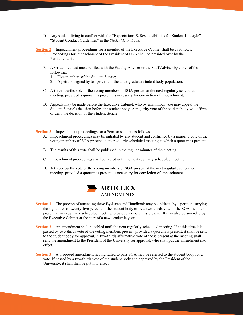D. Any student living in conflict with the "Expectations & Responsibilities for Student Lifestyle" and "Student Conduct Guidelines" in the *Student Handbook*.

**Section 2.** Impeachment proceedings for a member of the Executive Cabinet shall be as follows.

- A. Proceedings for impeachment of the President of SGA shall be presided over by the Parliamentarian.
- B. A written request must be filed with the Faculty Adviser or the Staff Adviser by either of the following;
	- 1. Five members of the Student Senate;
	- 2. A petition signed by ten percent of the undergraduate student body population.
- C. A three-fourths vote of the voting members of SGA present at the next regularly scheduled meeting, provided a quorum is present, is necessary for conviction of impeachment;
- D. Appeals may be made before the Executive Cabinet, who by unanimous vote may appeal the Student Senate's decision before the student body. A majority vote of the student body will affirm or deny the decision of the Student Senate.

**Section 3.** Impeachment proceedings for a Senator shall be as follows.

- A. Impeachment proceedings may be initiated by any student and confirmed by a majority vote of the voting members of SGA present at any regularly scheduled meeting at which a quorum is present;
- B. The results of this vote shall be published in the regular minutes of the meeting;
- C. Impeachment proceedings shall be tabled until the next regularly scheduled meeting;
- D. A three-fourths vote of the voting members of SGA present at the next regularly scheduled meeting, provided a quorum is present, is necessary for conviction of impeachment.



- **Section 1.** The process of amending these By-Laws and Handbook may be initiated by a petition carrying the signatures of twenty-five percent of the student body or by a two-thirds vote of the SGA members present at any regularly scheduled meeting, provided a quorum is present. It may also be amended by the Executive Cabinet at the start of a new academic year.
- **Section 2.** An amendment shall be tabled until the next regularly scheduled meeting. If at this time it is passed by two-thirds vote of the voting members present, provided a quorum is present, it shall be sent to the student body for approval. A two-thirds affirmative vote of those present at the meeting shall send the amendment to the President of the University for approval, who shall put the amendment into effect.
- **Section 3.** A proposed amendment having failed to pass SGA may be referred to the student body for a vote. If passed by a two-thirds vote of the student body and approved by the President of the University, it shall then be put into effect.

10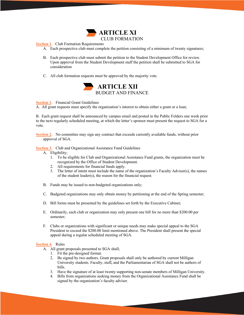

#### **Section 1.** Club Formation Requirements

- A. Each prospective club must complete the petition consisting of a minimum of twenty signatures;
- B. Each prospective club must submit the petition to the Student Development Office for review. Upon approval from the Student Development staff the petition shall be submitted to SGA for consideration
- C. All club formation requests must be approved by the majority vote.



**Section 1.** Financial Grant Guidelines

A. All grant requests must specify the organization's interest to obtain either a grant or a loan;

B. Each grant request shall be announced by campus email and posted in the Public Folders one week prior to the next regularly scheduled meeting, at which the letter's sponsor must present the request to SGA for a vote.

**Section 2.** No committee may sign any contract that exceeds currently available funds, without prior approval of SGA.

**Section 3.** Club and Organizational Assistance Fund Guidelines

- A. Eligibility;
	- 1. To be eligible for Club and Organizational Assistance Fund grants, the organization must be recognized by the Office of Student Development.
	- 2. All requirements for financial funds apply.
	- 3. The letter of intent must include the name of the organization's Faculty Adviser(s), the names of the student leader(s), the reason for the financial request.
- B. Funds may be issued to non-budgeted organizations only;
- C. Budgeted organizations may only obtain money by petitioning at the end of the Spring semester;
- D. Bill forms must be presented by the guidelines set forth by the Executive Cabinet;
- E. Ordinarily, each club or organization may only present one bill for no more than \$200.00 per semester;
- F. Clubs or organizations with significant or unique needs may make special appeal to the SGA President to exceed the \$200.00 limit mentioned above. The President shall present the special appeal during a regular scheduled meeting of SGA.

#### **Section 4.** Rules

- A. All grant proposals presented to SGA shall;
	- 1. Fit the pre-designed format.
	- 2. Be signed by two authors. Grant proposals shall only be authored by current Milligan University students. Faculty, staff**,** and the Parliamentarian of SGA shall not be authors of bills.
	- 3. Have the signature of at least twenty supporting non-senate members of Milligan University.

11

4. Bills from organizations seeking money from the Organizational Assistance Fund shall be signed by the organization's faculty adviser.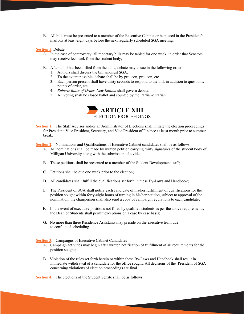B. All bills must be presented to a member of the Executive Cabinet or be placed in the President's mailbox at least eight days before the next regularly scheduled SGA meeting.

#### **Section 5.** Debate

- A. In the case of controversy, all monetary bills may be tabled for one week, in order that Senators may receive feedback from the student body;
- B. After a bill has been lifted from the table, debate may ensue in the following order;
	- 1. Authors shall discuss the bill amongst SGA.
	- 2. To the extent possible, debate shall be by pro, con, pro, con, etc.
	- 3. Each person present shall have thirty seconds to respond to the bill, in addition to questions, points of order, etc.
	- 4. *Roberts Rules of Order, New Edition* shall govern debate.
	- 5. All voting shall be closed ballot and counted by the Parliamentarian.



**Section 1.** The Staff Advisor and/or an Administrator of Elections shall initiate the election proceedings for President, Vice President, Secretary, and Vice President of Finance at least month prior to summer break.

**Section 2.** Nominations and Qualifications of Executive Cabinet candidates shall be as follows:

- A. All nominations shall be made by written petition carrying thirty signatures of the student body of Milligan University along with the submission of a video;
- B. These petitions shall be presented to a member of the Student Development staff;
- C. Petitions shall be due one week prior to the election;
- D. All candidates shall fulfill the qualifications set forth in these By-Laws and Handbook;
- E. The President of SGA shall notify each candidate of his/her fulfillment of qualifications for the position sought within forty-eight hours of turning in his/her petition, subject to approval of the nomination, the chairperson shall also send a copy of campaign regulations to each candidate;
- F. In the event of executive positions not filled by qualified students as per the above requirements, the Dean of Students shall permit exceptions on a case by case basis;
- G. No more than three Residence Assistants may preside on the executive team due to conflict of scheduling.

**Section 3.** Campaigns of Executive Cabinet Candidates

- A. Campaign activities may begin after written notification of fulfillment of all requirements for the position sought;
- B. Violation of the rules set forth herein or within these By-Laws and Handbook shall result in immediate withdrawal of a candidate for the office sought. All decisions of the President of SGA concerning violations of election proceedings are final.

**Section 4.** The elections of the Student Senate shall be as follows.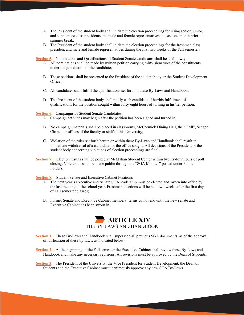- A. The President of the student body shall initiate the election proceedings for rising senior, junior, and sophomore class presidents and male and female representatives at least one month prior to summer break.
- B. The President of the student body shall initiate the election proceedings for the freshman class president and male and female representatives during the first two weeks of the Fall semester.

**Section 5.** Nominations and Qualifications of Student Senate candidates shall be as follows;

- A. All nominations shall be made by written petition carrying thirty signatures of the constituents under the jurisdiction of the candidate;
- B. These petitions shall be presented to the President of the student body or the Student Development Office;
- C. All candidates shall fulfill the qualifications set forth in these By-Laws and Handbook;
- D. The President of the student body shall notify each candidate of her/his fulfillment of qualifications for the position sought within forty-eight hours of turning in his/her petition.

Section **6.** Campaigns of Student Senate Candidates;

- A. Campaign activities may begin after the petition has been signed and turned in;
- B. No campaign materials shall be placed in classrooms, McCormick Dining Hall, the "Grill", Seeger Chapel, or offices of the faculty or staff of this University;
- C. Violation of the rules set forth herein or within these By-Laws and Handbook shall result in immediate withdrawal of a candidate for the office sought. All decisions of the President of the student body concerning violations of election proceedings are final.
- **Section 7.** Election results shall be posted at McMahan Student Center within twenty-four hours of poll closing. Vote totals shall be made public through the "SGA Minutes" posted under Public Folders.

**Section 8.** Student Senate and Executive Cabinet Positions

- A. The next year's Executive and Senate SGA leadership must be elected and sworn into office by the last meeting of the school year. Freshman elections will be held two weeks after the first day of Fall semester classes;
- B. Former Senate and Executive Cabinet members' terms do not end until the new senate and Executive Cabinet has been sworn in.



- **Section 1.** These By-Laws and Handbook shall supersede all previous SGA documents, as of the approval of ratification of these by-laws, as indicated below.
- **Section 2.** At the beginning of the Fall semester the Executive Cabinet shall review these By-Laws and Handbook and make any necessary revisions. All revisions must be approved by the Dean of Students.

13

**Section 3.** The President of the University, the Vice President for Student Development, the Dean of Students and the Executive Cabinet must unanimously approve any new SGA By-Laws.